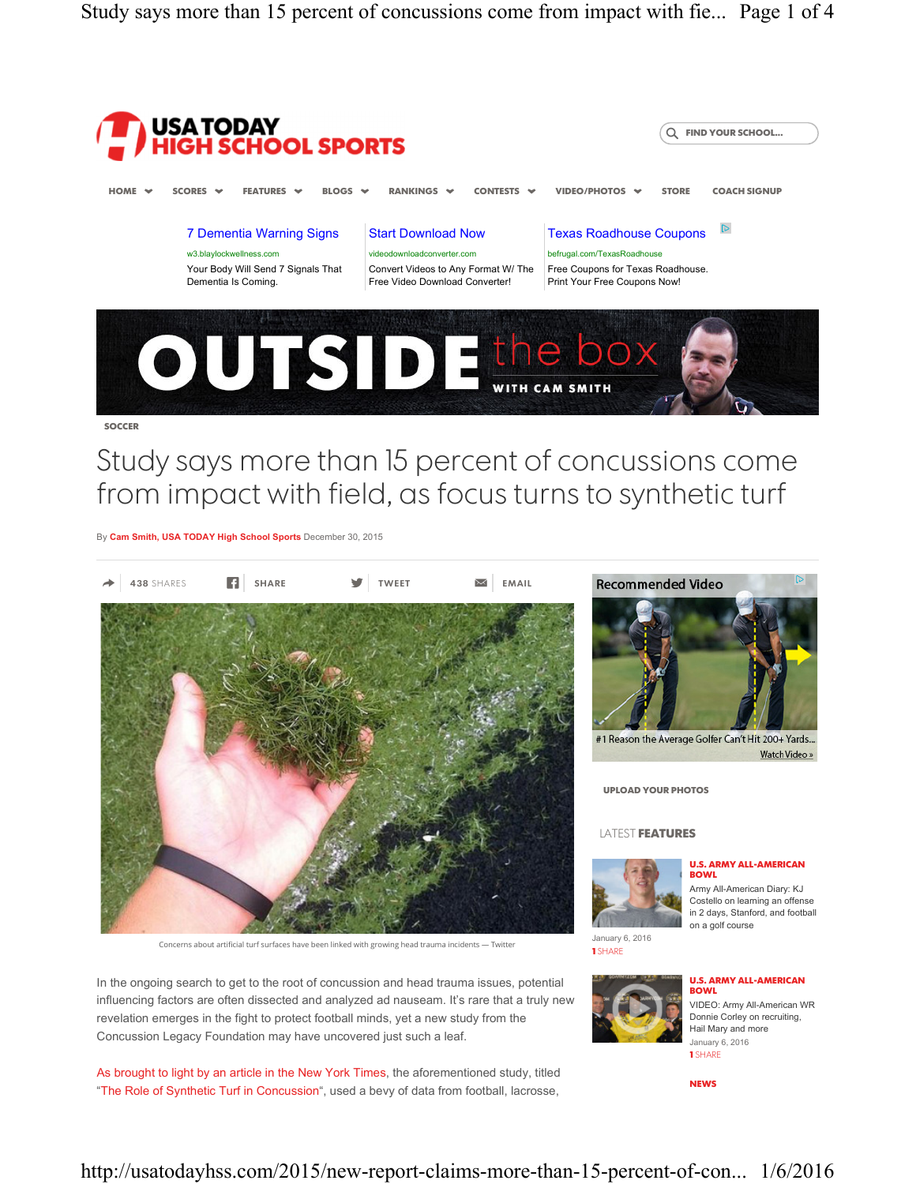Study says more than 15 percent of concussions come from impact with fie... Page 1 of 4



# Study says more than 15 percent of concussions come from impact with field, as focus turns to synthetic turf

By Cam Smith, USA TODAY High School Sports December 30, 2015



Concerns about artificial turf surfaces have been linked with growing head trauma incidents — Twitter

In the ongoing search to get to the root of concussion and head trauma issues, potential influencing factors are often dissected and analyzed ad nauseam. It's rare that a truly new revelation emerges in the fight to protect football minds, yet a new study from the Concussion Legacy Foundation may have uncovered just such a leaf.

As brought to light by an article in the New York Times, the aforementioned study, titled "The Role of Synthetic Turf in Concussion", used a bevy of data from football, lacrosse,



Watch Video »

January 6, 2016 1 SHARE





Army All-American Diary: KJ Costello on learning an offense in 2 days, Stanford, and football on a golf course

#### U.S. ARMY ALL-AMERICAN **BOWL**

VIDEO: Army All-American WR Donnie Corley on recruiting, Hail Mary and more January 6, 2016 1 SHARE

NEWS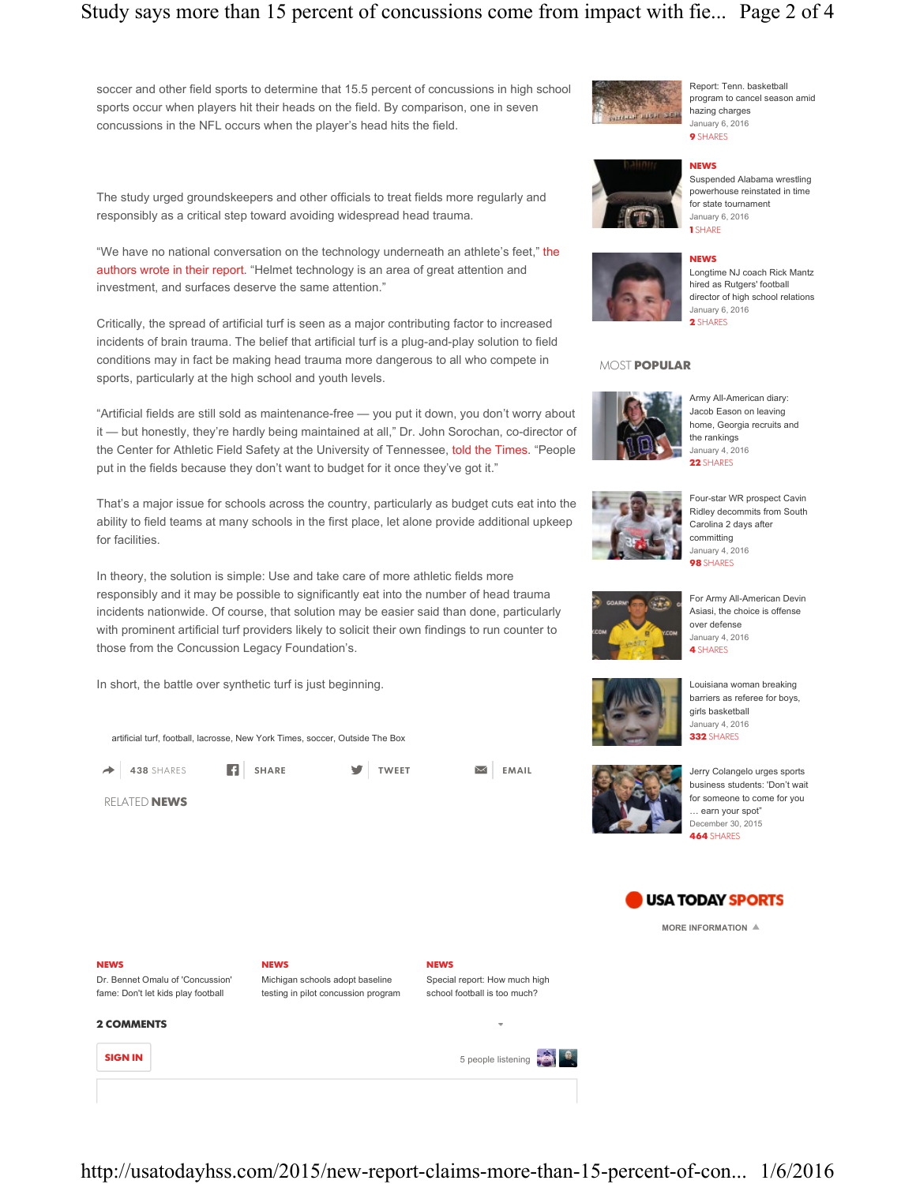## Study says more than 15 percent of concussions come from impact with fie... Page 2 of 4

soccer and other field sports to determine that 15.5 percent of concussions in high school sports occur when players hit their heads on the field. By comparison, one in seven concussions in the NFL occurs when the player's head hits the field.

The study urged groundskeepers and other officials to treat fields more regularly and responsibly as a critical step toward avoiding widespread head trauma.

"We have no national conversation on the technology underneath an athlete's feet," the authors wrote in their report. "Helmet technology is an area of great attention and investment, and surfaces deserve the same attention."

Critically, the spread of artificial turf is seen as a major contributing factor to increased incidents of brain trauma. The belief that artificial turf is a plug-and-play solution to field conditions may in fact be making head trauma more dangerous to all who compete in sports, particularly at the high school and youth levels.

"Artificial fields are still sold as maintenance-free — you put it down, you don't worry about it — but honestly, they're hardly being maintained at all," Dr. John Sorochan, co-director of the Center for Athletic Field Safety at the University of Tennessee, told the Times. "People put in the fields because they don't want to budget for it once they've got it."

That's a major issue for schools across the country, particularly as budget cuts eat into the ability to field teams at many schools in the first place, let alone provide additional upkeep for facilities.

In theory, the solution is simple: Use and take care of more athletic fields more responsibly and it may be possible to significantly eat into the number of head trauma incidents nationwide. Of course, that solution may be easier said than done, particularly with prominent artificial turf providers likely to solicit their own findings to run counter to those from the Concussion Legacy Foundation's.

In short, the battle over synthetic turf is just beginning.

artificial turf, football, lacrosse, New York Times, soccer, Outside The Box

RELATED NEWS

 $\rightarrow$  438 SHARES **F** SHARE **SHARE** TWEET  $\rightarrow$  EMAIL



NEWS Suspended Alabama wrestling powerhouse reinstated in time for state tournament January 6, 2016 1 SHARE

Report: Tenn. basketball program to cancel season amid

hazing charges

### **NEWS**



Longtime NJ coach Rick Mantz hired as Rutgers' football director of high school relations January 6, 2016 2 SHARES

### MOST POPULAR



Army All-American diary: Jacob Eason on leaving home, Georgia recruits and the rankings January 4, 2016 22 SHARES



Four-star WR prospect Cavin Ridley decommits from South Carolina 2 days after committing January 4, 2016 **98 SHARES** 



For Army All-American Devin Asiasi, the choice is offense over defense January 4, 2016 4 SHARES

Louisiana woman breaking barriers as referee for boys, girls basketball



Jerry Colangelo urges sports business students: 'Don't wait for someone to come for you … earn your spot" December 30, 2015 464 SHARES



MORE INFORMATION  $\triangleq$ 

Dr. Bennet Omalu of 'Concussion' fame: Don't let kids play football

NEWS Michigan schools adopt baseline

testing in pilot concussion program

NEWS Special report: How much high school football is too much?



NEWS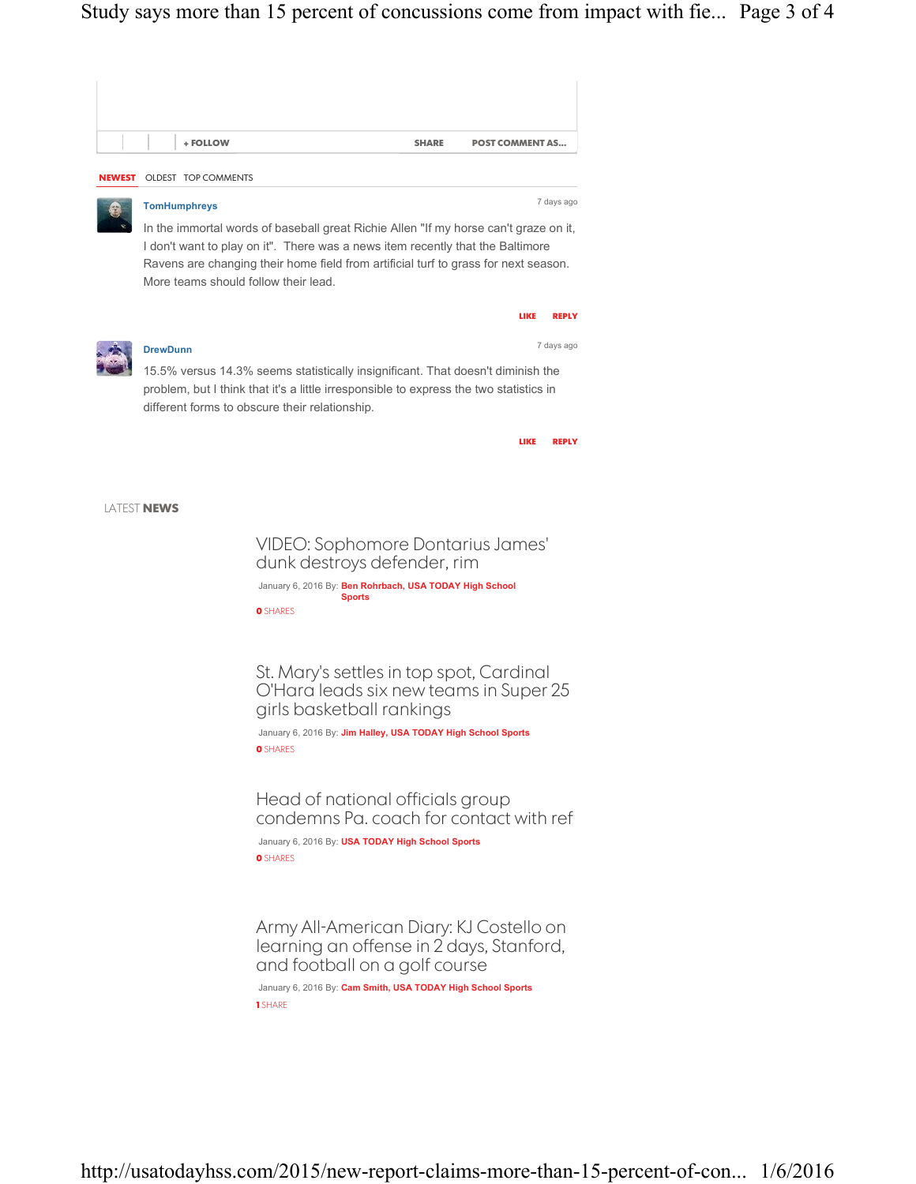

January 6, 2016 By: Cam Smith, USA TODAY High School Sports 1 SHARE